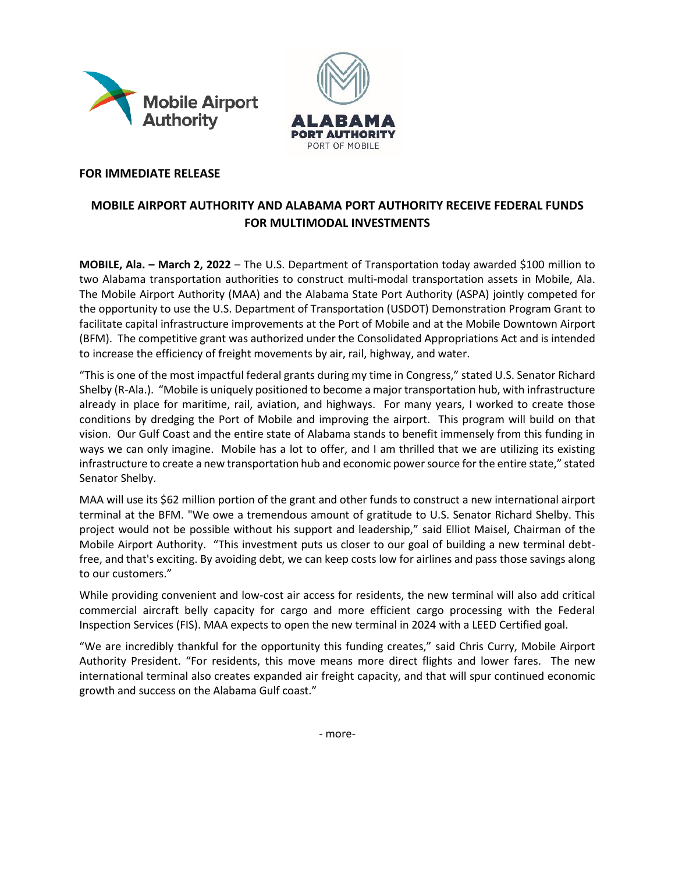



## **FOR IMMEDIATE RELEASE**

## **MOBILE AIRPORT AUTHORITY AND ALABAMA PORT AUTHORITY RECEIVE FEDERAL FUNDS FOR MULTIMODAL INVESTMENTS**

**MOBILE, Ala. – March 2, 2022** – The U.S. Department of Transportation today awarded \$100 million to two Alabama transportation authorities to construct multi-modal transportation assets in Mobile, Ala. The Mobile Airport Authority (MAA) and the Alabama State Port Authority (ASPA) jointly competed for the opportunity to use the U.S. Department of Transportation (USDOT) Demonstration Program Grant to facilitate capital infrastructure improvements at the Port of Mobile and at the Mobile Downtown Airport (BFM). The competitive grant was authorized under the Consolidated Appropriations Act and is intended to increase the efficiency of freight movements by air, rail, highway, and water.

"This is one of the most impactful federal grants during my time in Congress," stated U.S. Senator Richard Shelby (R-Ala.). "Mobile is uniquely positioned to become a major transportation hub, with infrastructure already in place for maritime, rail, aviation, and highways. For many years, I worked to create those conditions by dredging the Port of Mobile and improving the airport. This program will build on that vision. Our Gulf Coast and the entire state of Alabama stands to benefit immensely from this funding in ways we can only imagine. Mobile has a lot to offer, and I am thrilled that we are utilizing its existing infrastructure to create a new transportation hub and economic power source for the entire state," stated Senator Shelby.

MAA will use its \$62 million portion of the grant and other funds to construct a new international airport terminal at the BFM. "We owe a tremendous amount of gratitude to U.S. Senator Richard Shelby. This project would not be possible without his support and leadership," said Elliot Maisel, Chairman of the Mobile Airport Authority. "This investment puts us closer to our goal of building a new terminal debtfree, and that's exciting. By avoiding debt, we can keep costs low for airlines and pass those savings along to our customers."

While providing convenient and low-cost air access for residents, the new terminal will also add critical commercial aircraft belly capacity for cargo and more efficient cargo processing with the Federal Inspection Services (FIS). MAA expects to open the new terminal in 2024 with a LEED Certified goal.

"We are incredibly thankful for the opportunity this funding creates," said Chris Curry, Mobile Airport Authority President. "For residents, this move means more direct flights and lower fares. The new international terminal also creates expanded air freight capacity, and that will spur continued economic growth and success on the Alabama Gulf coast."

- more-